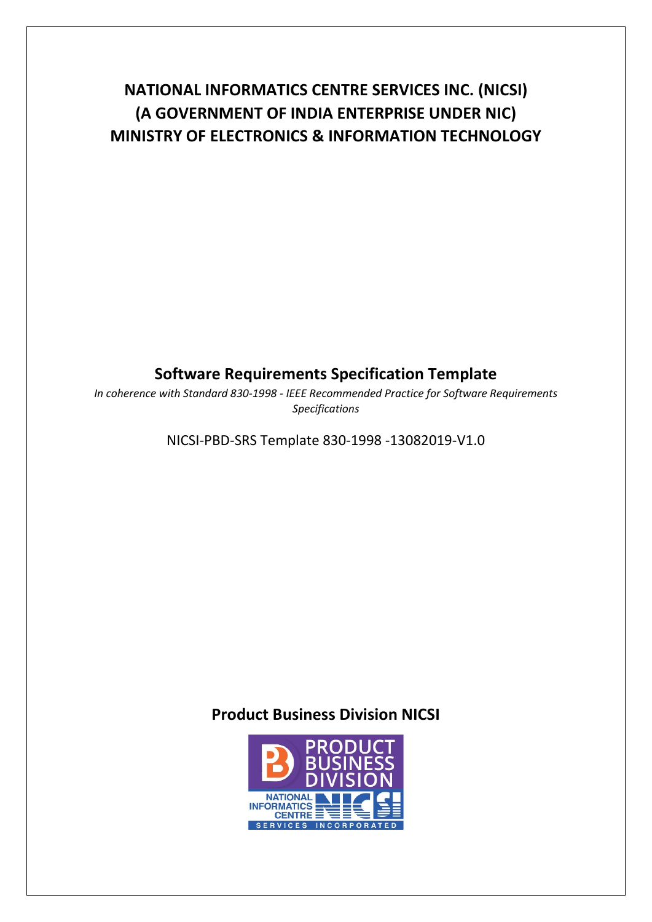# **NATIONAL INFORMATICS CENTRE SERVICES INC. (NICSI) (A GOVERNMENT OF INDIA ENTERPRISE UNDER NIC) MINISTRY OF ELECTRONICS & INFORMATION TECHNOLOGY**

# **Software Requirements Specification Template**

*In coherence with Standard 830-1998 - IEEE Recommended Practice for Software Requirements Specifications*

NICSI-PBD-SRS Template 830-1998 -13082019-V1.0

## **Product Business Division NICSI**

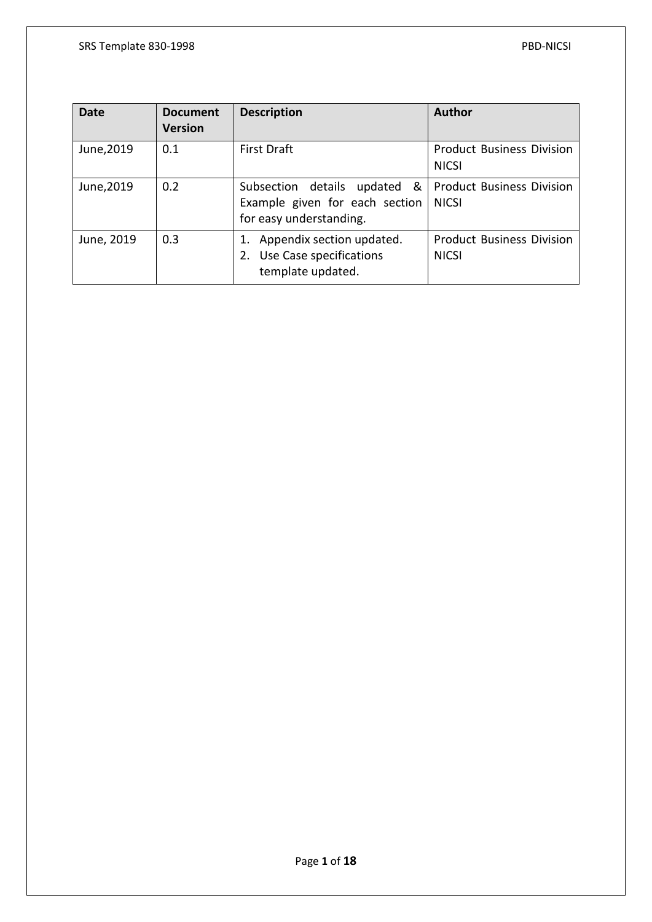| <b>Date</b> | <b>Document</b><br><b>Version</b> | <b>Description</b>                                                                              | <b>Author</b>                                    |
|-------------|-----------------------------------|-------------------------------------------------------------------------------------------------|--------------------------------------------------|
| June, 2019  | 0.1                               | <b>First Draft</b>                                                                              | <b>Product Business Division</b><br><b>NICSI</b> |
| June, 2019  | 0.2                               | &<br>Subsection details<br>updated<br>Example given for each section<br>for easy understanding. | <b>Product Business Division</b><br><b>NICSI</b> |
| June, 2019  | 0.3                               | 1. Appendix section updated.<br>2. Use Case specifications<br>template updated.                 | <b>Product Business Division</b><br><b>NICSI</b> |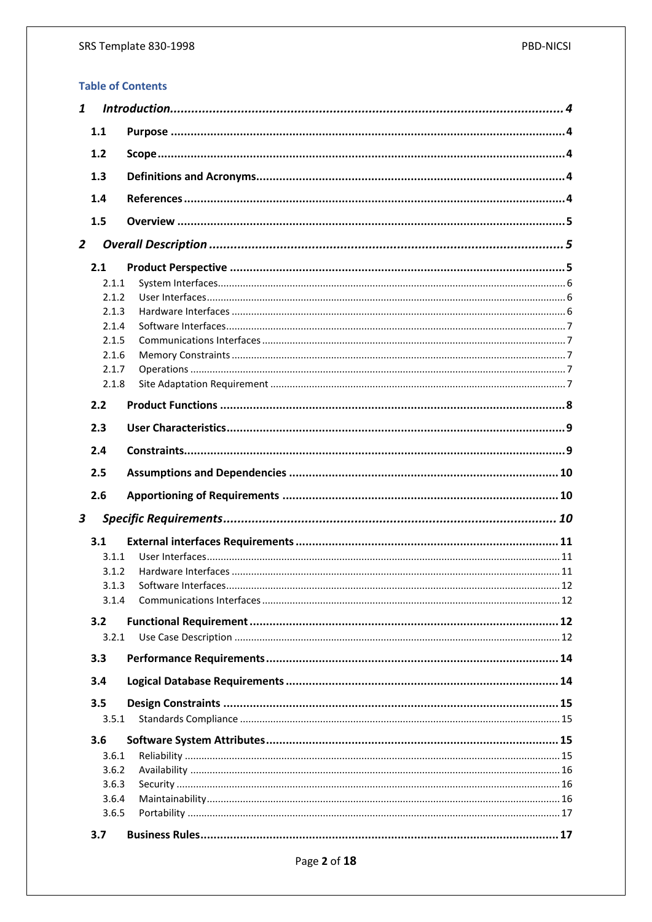### **Table of Contents**

| 1.1              |  |
|------------------|--|
| 1.2              |  |
| 1.3              |  |
| 1.4              |  |
|                  |  |
| 1.5              |  |
| $\overline{2}$   |  |
| 2.1              |  |
| 2.1.1            |  |
| 2.1.2            |  |
| 2.1.3            |  |
| 2.1.4            |  |
| 2.1.5            |  |
| 2.1.6            |  |
| 2.1.7            |  |
|                  |  |
| 2.1.8            |  |
| 2.2              |  |
| 2.3              |  |
| 2.4              |  |
| 2.5              |  |
| 2.6              |  |
|                  |  |
| $\boldsymbol{3}$ |  |
| 3.1              |  |
| 3.1.1            |  |
| 3.1.2            |  |
| 3.1.3            |  |
| 3.1.4            |  |
|                  |  |
| 3.2              |  |
| 3.2.1            |  |
| 3.3              |  |
| 3.4              |  |
| 3.5              |  |
| 3.5.1            |  |
| 3.6              |  |
| 3.6.1            |  |
| 3.6.2            |  |
| 3.6.3            |  |
| 3.6.4            |  |
| 3.6.5            |  |
| 3.7              |  |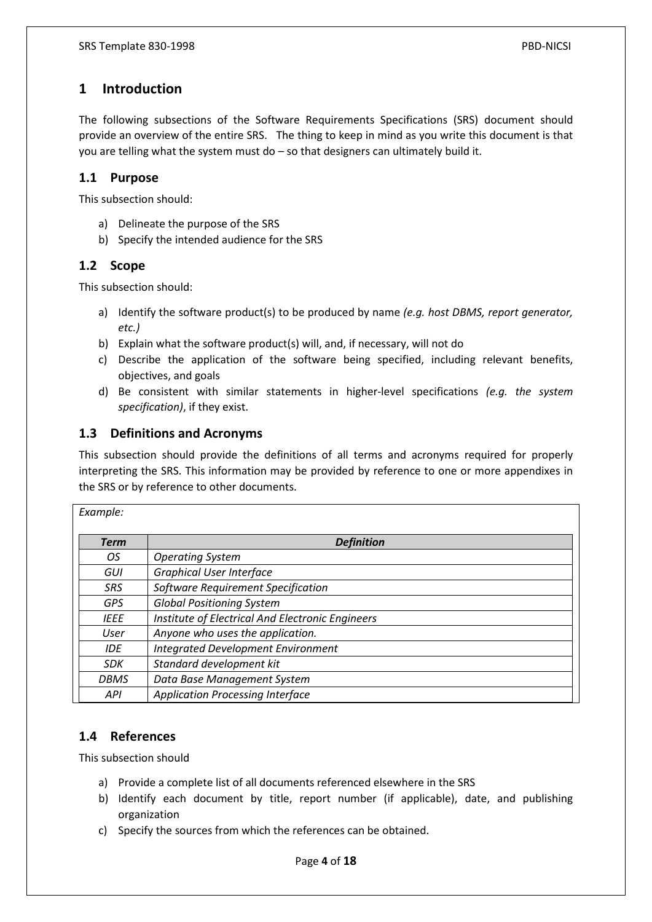### <span id="page-4-0"></span>**1 Introduction**

The following subsections of the Software Requirements Specifications (SRS) document should provide an overview of the entire SRS. The thing to keep in mind as you write this document is that you are telling what the system must do – so that designers can ultimately build it.

### <span id="page-4-1"></span>**1.1 Purpose**

This subsection should:

- a) Delineate the purpose of the SRS
- b) Specify the intended audience for the SRS

### <span id="page-4-2"></span>**1.2 Scope**

This subsection should:

- a) Identify the software product(s) to be produced by name *(e.g. host DBMS, report generator, etc.)*
- b) Explain what the software product(s) will, and, if necessary, will not do
- c) Describe the application of the software being specified, including relevant benefits, objectives, and goals
- d) Be consistent with similar statements in higher-level specifications *(e.g. the system specification)*, if they exist.

### <span id="page-4-3"></span>**1.3 Definitions and Acronyms**

This subsection should provide the definitions of all terms and acronyms required for properly interpreting the SRS. This information may be provided by reference to one or more appendixes in the SRS or by reference to other documents.

| Example:    |                                                  |
|-------------|--------------------------------------------------|
| <b>Term</b> | <b>Definition</b>                                |
| ΟS          | <b>Operating System</b>                          |
| GUI         | <b>Graphical User Interface</b>                  |
| <b>SRS</b>  | Software Requirement Specification               |
| <b>GPS</b>  | <b>Global Positioning System</b>                 |
| <b>IEEE</b> | Institute of Electrical And Electronic Engineers |
| User        | Anyone who uses the application.                 |
| <b>IDE</b>  | <b>Integrated Development Environment</b>        |
| <b>SDK</b>  | Standard development kit                         |
| <b>DBMS</b> | Data Base Management System                      |
| <b>API</b>  | <b>Application Processing Interface</b>          |

### <span id="page-4-4"></span>**1.4 References**

This subsection should

- a) Provide a complete list of all documents referenced elsewhere in the SRS
- b) Identify each document by title, report number (if applicable), date, and publishing organization
- c) Specify the sources from which the references can be obtained.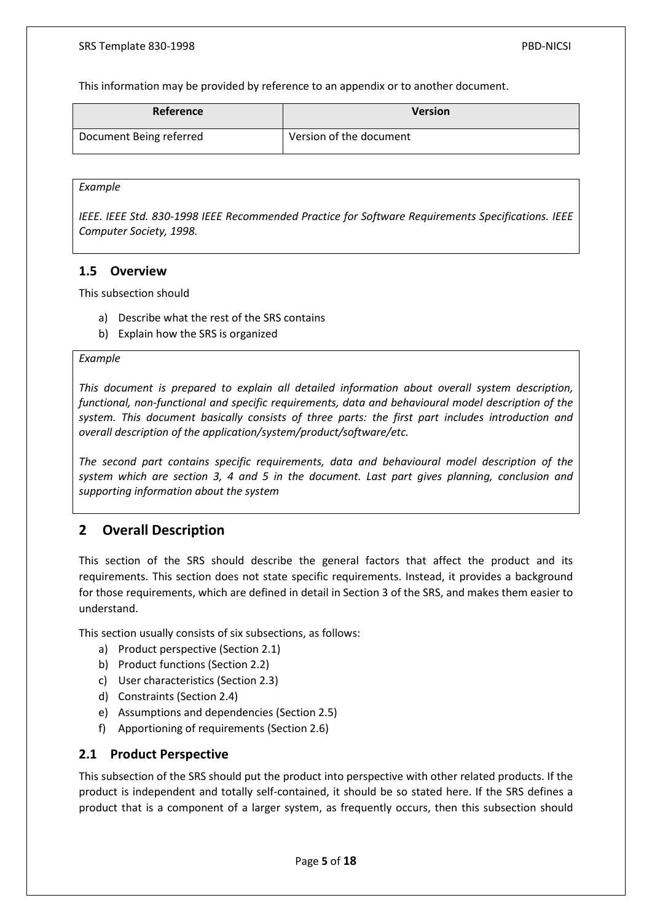This information may be provided by reference to an appendix or to another document.

| Reference               | <b>Version</b>          |
|-------------------------|-------------------------|
| Document Being referred | Version of the document |

#### *Example*

*IEEE. IEEE Std. 830-1998 IEEE Recommended Practice for Software Requirements Specifications. IEEE Computer Society, 1998.*

### <span id="page-5-0"></span>**1.5 Overview**

This subsection should

- a) Describe what the rest of the SRS contains
- b) Explain how the SRS is organized

#### *Example*

*This document is prepared to explain all detailed information about overall system description, functional, non-functional and specific requirements, data and behavioural model description of the system. This document basically consists of three parts: the first part includes introduction and overall description of the application/system/product/software/etc.*

*The second part contains specific requirements, data and behavioural model description of the system which are section 3, 4 and 5 in the document. Last part gives planning, conclusion and supporting information about the system*

### <span id="page-5-1"></span>**2 Overall Description**

This section of the SRS should describe the general factors that affect the product and its requirements. This section does not state specific requirements. Instead, it provides a background for those requirements, which are defined in detail in Section 3 of the SRS, and makes them easier to understand.

This section usually consists of six subsections, as follows:

- a) Product perspective (Section 2.1)
- b) Product functions (Section 2.2)
- c) User characteristics (Section 2.3)
- d) Constraints (Section 2.4)
- e) Assumptions and dependencies (Section 2.5)
- f) Apportioning of requirements (Section 2.6)

#### <span id="page-5-2"></span>**2.1 Product Perspective**

This subsection of the SRS should put the product into perspective with other related products. If the product is independent and totally self-contained, it should be so stated here. If the SRS defines a product that is a component of a larger system, as frequently occurs, then this subsection should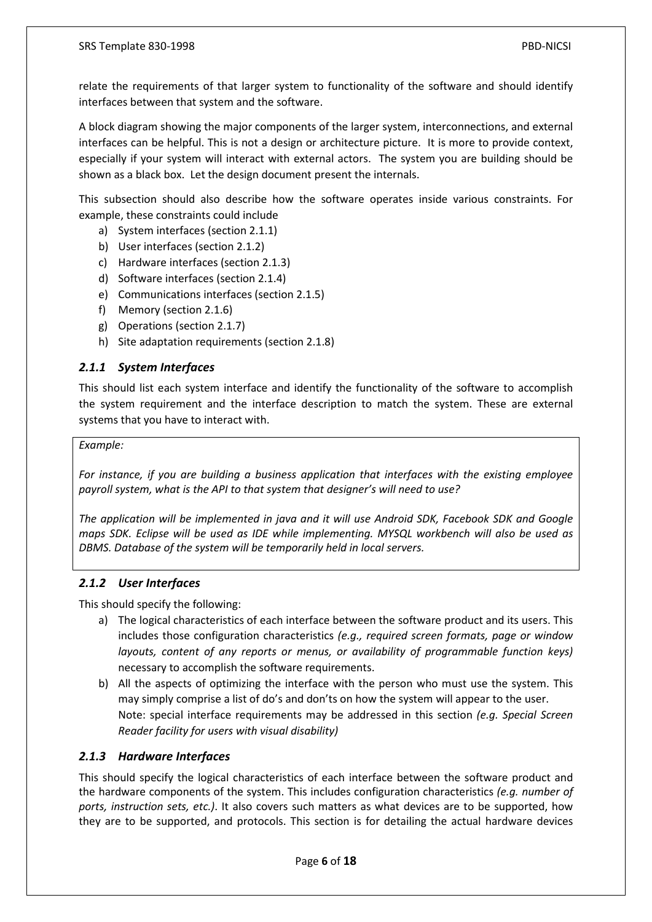relate the requirements of that larger system to functionality of the software and should identify interfaces between that system and the software.

A block diagram showing the major components of the larger system, interconnections, and external interfaces can be helpful. This is not a design or architecture picture. It is more to provide context, especially if your system will interact with external actors. The system you are building should be shown as a black box. Let the design document present the internals.

This subsection should also describe how the software operates inside various constraints. For example, these constraints could include

- a) System interfaces (section 2.1.1)
- b) User interfaces (section 2.1.2)
- c) Hardware interfaces (section 2.1.3)
- d) Software interfaces (section 2.1.4)
- e) Communications interfaces (section 2.1.5)
- f) Memory (section 2.1.6)
- g) Operations (section 2.1.7)
- h) Site adaptation requirements (section 2.1.8)

### <span id="page-6-0"></span>*2.1.1 System Interfaces*

This should list each system interface and identify the functionality of the software to accomplish the system requirement and the interface description to match the system. These are external systems that you have to interact with.

#### *Example:*

*For instance, if you are building a business application that interfaces with the existing employee payroll system, what is the API to that system that designer's will need to use?*

*The application will be implemented in java and it will use Android SDK, Facebook SDK and Google maps SDK. Eclipse will be used as IDE while implementing. MYSQL workbench will also be used as DBMS. Database of the system will be temporarily held in local servers.*

#### <span id="page-6-1"></span>*2.1.2 User Interfaces*

This should specify the following:

- a) The logical characteristics of each interface between the software product and its users. This includes those configuration characteristics *(e.g., required screen formats, page or window layouts, content of any reports or menus, or availability of programmable function keys)* necessary to accomplish the software requirements.
- b) All the aspects of optimizing the interface with the person who must use the system. This may simply comprise a list of do's and don'ts on how the system will appear to the user. Note: special interface requirements may be addressed in this section *(e.g. Special Screen Reader facility for users with visual disability)*

#### <span id="page-6-2"></span>*2.1.3 Hardware Interfaces*

This should specify the logical characteristics of each interface between the software product and the hardware components of the system. This includes configuration characteristics *(e.g. number of ports, instruction sets, etc.)*. It also covers such matters as what devices are to be supported, how they are to be supported, and protocols. This section is for detailing the actual hardware devices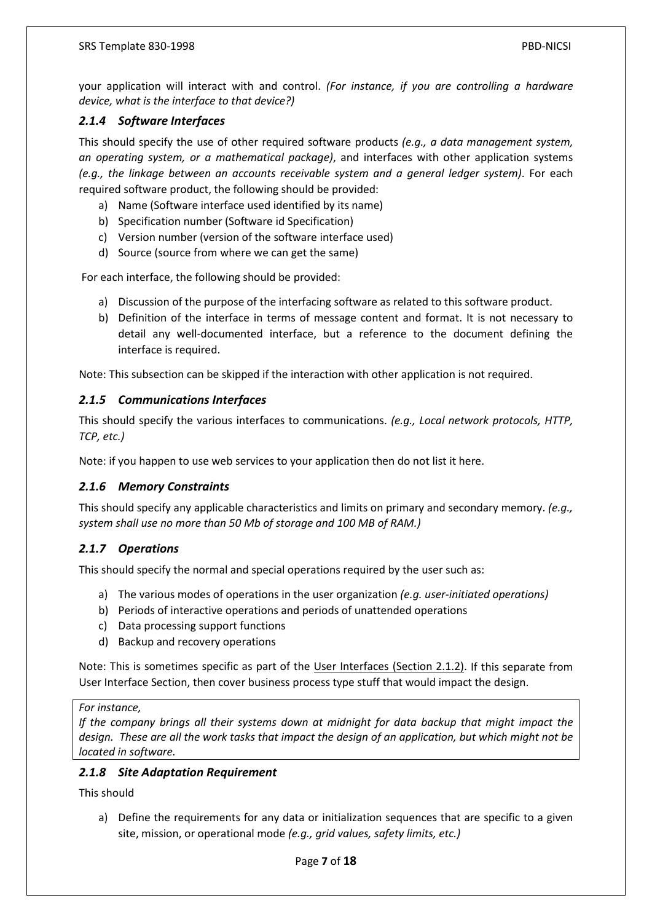your application will interact with and control. *(For instance, if you are controlling a hardware device, what is the interface to that device?)*

### <span id="page-7-0"></span>*2.1.4 Software Interfaces*

This should specify the use of other required software products *(e.g., a data management system, an operating system, or a mathematical package)*, and interfaces with other application systems *(e.g., the linkage between an accounts receivable system and a general ledger system)*. For each required software product, the following should be provided:

- a) Name (Software interface used identified by its name)
- b) Specification number (Software id Specification)
- c) Version number (version of the software interface used)
- d) Source (source from where we can get the same)

For each interface, the following should be provided:

- a) Discussion of the purpose of the interfacing software as related to this software product.
- b) Definition of the interface in terms of message content and format. It is not necessary to detail any well-documented interface, but a reference to the document defining the interface is required.

Note: This subsection can be skipped if the interaction with other application is not required.

#### <span id="page-7-1"></span>*2.1.5 Communications Interfaces*

This should specify the various interfaces to communications. *(e.g., Local network protocols, HTTP, TCP, etc.)*

Note: if you happen to use web services to your application then do not list it here.

#### <span id="page-7-2"></span>*2.1.6 Memory Constraints*

This should specify any applicable characteristics and limits on primary and secondary memory. *(e.g., system shall use no more than 50 Mb of storage and 100 MB of RAM.)*

#### <span id="page-7-3"></span>*2.1.7 Operations*

This should specify the normal and special operations required by the user such as:

- a) The various modes of operations in the user organization *(e.g. user-initiated operations)*
- b) Periods of interactive operations and periods of unattended operations
- c) Data processing support functions
- d) Backup and recovery operations

Note: This is sometimes specific as part of the User Interfaces (Section 2.1.2). If this separate from User Interface Section, then cover business process type stuff that would impact the design.

#### *For instance,*

*If the company brings all their systems down at midnight for data backup that might impact the design. These are all the work tasks that impact the design of an application, but which might not be located in software.*

#### <span id="page-7-4"></span>*2.1.8 Site Adaptation Requirement*

This should

a) Define the requirements for any data or initialization sequences that are specific to a given site, mission, or operational mode *(e.g., grid values, safety limits, etc.)*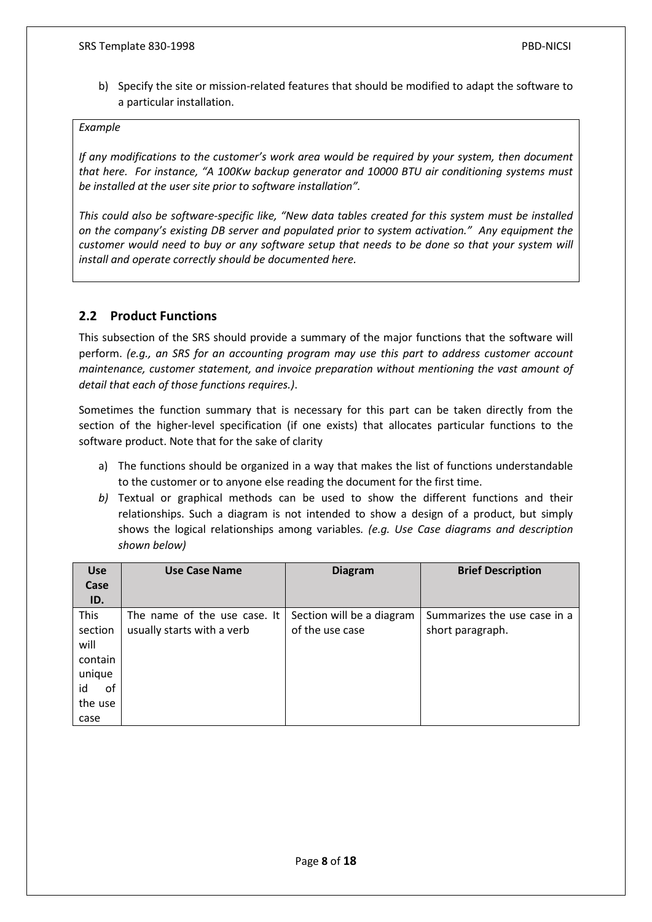b) Specify the site or mission-related features that should be modified to adapt the software to a particular installation.

#### *Example*

*If any modifications to the customer's work area would be required by your system, then document that here. For instance, "A 100Kw backup generator and 10000 BTU air conditioning systems must be installed at the user site prior to software installation".*

*This could also be software-specific like, "New data tables created for this system must be installed on the company's existing DB server and populated prior to system activation." Any equipment the customer would need to buy or any software setup that needs to be done so that your system will install and operate correctly should be documented here.*

### <span id="page-8-0"></span>**2.2 Product Functions**

This subsection of the SRS should provide a summary of the major functions that the software will perform. *(e.g., an SRS for an accounting program may use this part to address customer account maintenance, customer statement, and invoice preparation without mentioning the vast amount of detail that each of those functions requires.)*.

Sometimes the function summary that is necessary for this part can be taken directly from the section of the higher-level specification (if one exists) that allocates particular functions to the software product. Note that for the sake of clarity

- a) The functions should be organized in a way that makes the list of functions understandable to the customer or to anyone else reading the document for the first time.
- *b)* Textual or graphical methods can be used to show the different functions and their relationships. Such a diagram is not intended to show a design of a product, but simply shows the logical relationships among variables*. (e.g. Use Case diagrams and description shown below)*

| <b>Use</b> | <b>Use Case Name</b>         | <b>Diagram</b>            | <b>Brief Description</b>     |
|------------|------------------------------|---------------------------|------------------------------|
| Case       |                              |                           |                              |
| ID.        |                              |                           |                              |
| This       | The name of the use case. It | Section will be a diagram | Summarizes the use case in a |
| section    | usually starts with a verb   | of the use case           | short paragraph.             |
| will       |                              |                           |                              |
| contain    |                              |                           |                              |
| unique     |                              |                           |                              |
| id<br>0f   |                              |                           |                              |
| the use    |                              |                           |                              |
| case       |                              |                           |                              |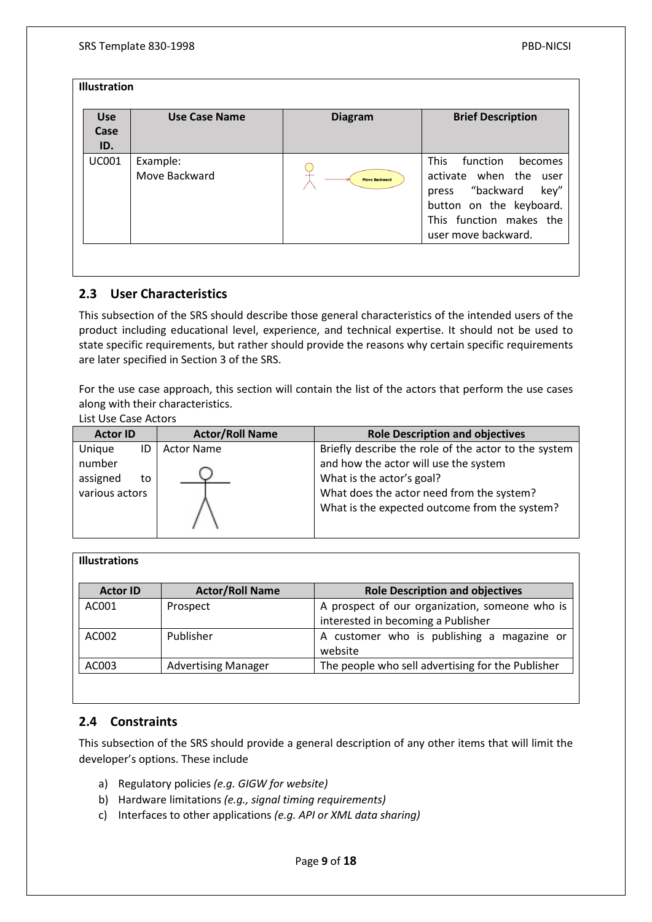| <b>Use</b><br>Case<br>ID. | <b>Use Case Name</b>      | <b>Diagram</b>       | <b>Brief Description</b>                                                                                                                                                |
|---------------------------|---------------------------|----------------------|-------------------------------------------------------------------------------------------------------------------------------------------------------------------------|
| <b>UC001</b>              | Example:<br>Move Backward | <b>Move Backward</b> | <b>This</b><br>function<br>becomes<br>activate when the<br>user<br>press "backward<br>key"<br>button on the keyboard.<br>This function makes the<br>user move backward. |

### <span id="page-9-0"></span>**2.3 User Characteristics**

This subsection of the SRS should describe those general characteristics of the intended users of the product including educational level, experience, and technical expertise. It should not be used to state specific requirements, but rather should provide the reasons why certain specific requirements are later specified in Section 3 of the SRS.

For the use case approach, this section will contain the list of the actors that perform the use cases along with their characteristics.

List Use Case Actors

| <b>Actor ID</b>                                            | <b>Actor/Roll Name</b> | <b>Role Description and objectives</b>                                                                                                                                                                                   |  |
|------------------------------------------------------------|------------------------|--------------------------------------------------------------------------------------------------------------------------------------------------------------------------------------------------------------------------|--|
| Unique<br>ID<br>number<br>assigned<br>to<br>various actors | <b>Actor Name</b>      | Briefly describe the role of the actor to the system<br>and how the actor will use the system<br>What is the actor's goal?<br>What does the actor need from the system?<br>What is the expected outcome from the system? |  |

| <b>Illustrations</b> |                            |                                                                                      |
|----------------------|----------------------------|--------------------------------------------------------------------------------------|
| <b>Actor ID</b>      | <b>Actor/Roll Name</b>     | <b>Role Description and objectives</b>                                               |
| AC001                | Prospect                   | A prospect of our organization, someone who is<br>interested in becoming a Publisher |
| AC002                | Publisher                  | A customer who is publishing a magazine or<br>website                                |
| AC003                | <b>Advertising Manager</b> | The people who sell advertising for the Publisher                                    |

### <span id="page-9-1"></span>**2.4 Constraints**

This subsection of the SRS should provide a general description of any other items that will limit the developer's options. These include

- a) Regulatory policies *(e.g. GIGW for website)*
- b) Hardware limitations *(e.g., signal timing requirements)*
- c) Interfaces to other applications *(e.g. API or XML data sharing)*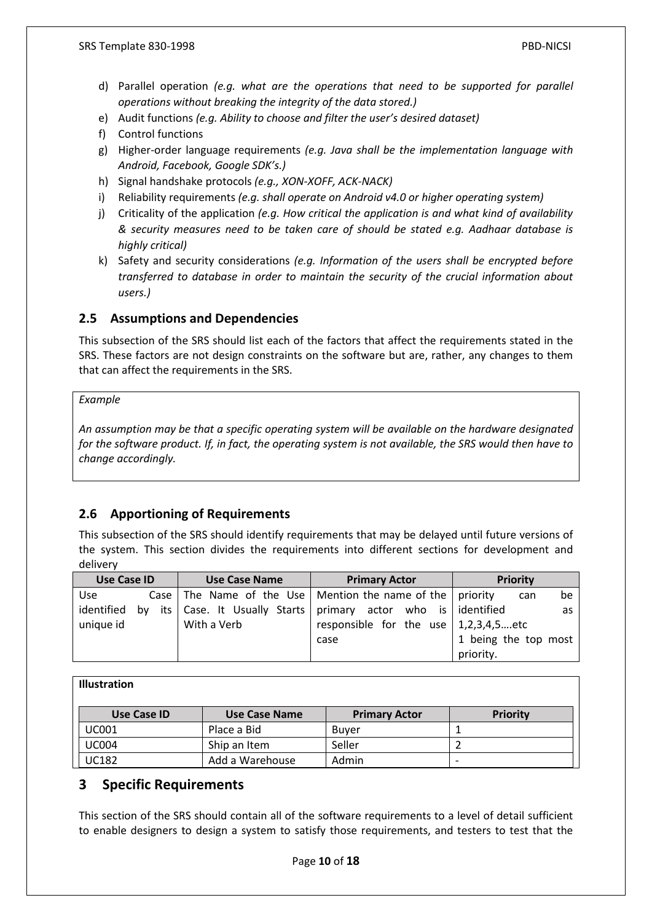- d) Parallel operation *(e.g. what are the operations that need to be supported for parallel operations without breaking the integrity of the data stored.)*
- e) Audit functions *(e.g. Ability to choose and filter the user's desired dataset)*
- f) Control functions
- g) Higher-order language requirements *(e.g. Java shall be the implementation language with Android, Facebook, Google SDK's.)*
- h) Signal handshake protocols *(e.g., XON-XOFF, ACK-NACK)*
- i) Reliability requirements *(e.g. shall operate on Android v4.0 or higher operating system)*
- j) Criticality of the application *(e.g. How critical the application is and what kind of availability & security measures need to be taken care of should be stated e.g. Aadhaar database is highly critical)*
- k) Safety and security considerations *(e.g. Information of the users shall be encrypted before transferred to database in order to maintain the security of the crucial information about users.)*

### <span id="page-10-0"></span>**2.5 Assumptions and Dependencies**

This subsection of the SRS should list each of the factors that affect the requirements stated in the SRS. These factors are not design constraints on the software but are, rather, any changes to them that can affect the requirements in the SRS.

#### *Example*

*An assumption may be that a specific operating system will be available on the hardware designated for the software product. If, in fact, the operating system is not available, the SRS would then have to change accordingly.*

### <span id="page-10-1"></span>**2.6 Apportioning of Requirements**

This subsection of the SRS should identify requirements that may be delayed until future versions of the system. This section divides the requirements into different sections for development and delivery

| <b>Use Case ID</b> |  | <b>Use Case Name</b> | <b>Primary Actor</b>                                              | <b>Priority</b>      |
|--------------------|--|----------------------|-------------------------------------------------------------------|----------------------|
| <b>Use</b>         |  |                      | Case   The Name of the Use   Mention the name of the   priority   | be<br>can            |
| identified by      |  |                      | its   Case. It Usually Starts   primary actor who is   identified | as                   |
| unique id          |  | With a Verb          | responsible for the use $\vert 1,2,3,4,5 \ldots$ etc              |                      |
|                    |  |                      | case                                                              | 1 being the top most |
|                    |  |                      |                                                                   | priority.            |

#### **Illustration**

| Use Case ID  | Use Case Name   | <b>Primary Actor</b> | <b>Priority</b> |
|--------------|-----------------|----------------------|-----------------|
| <b>UC001</b> | Place a Bid     | Buver                |                 |
| <b>UC004</b> | Ship an Item    | Seller               |                 |
| <b>UC182</b> | Add a Warehouse | Admin                |                 |

### <span id="page-10-2"></span>**3 Specific Requirements**

This section of the SRS should contain all of the software requirements to a level of detail sufficient to enable designers to design a system to satisfy those requirements, and testers to test that the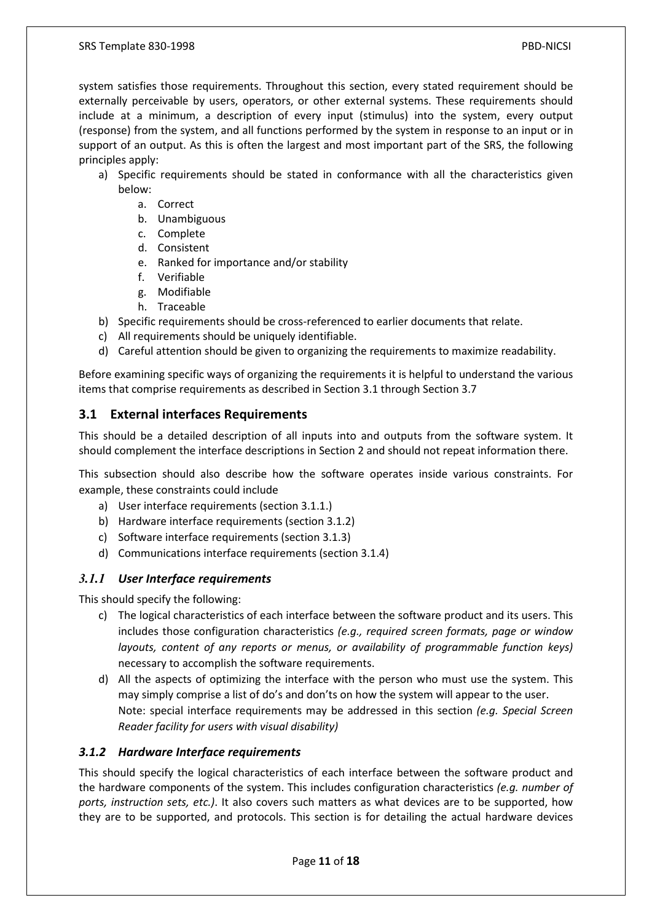system satisfies those requirements. Throughout this section, every stated requirement should be externally perceivable by users, operators, or other external systems. These requirements should include at a minimum, a description of every input (stimulus) into the system, every output (response) from the system, and all functions performed by the system in response to an input or in support of an output. As this is often the largest and most important part of the SRS, the following principles apply:

- a) Specific requirements should be stated in conformance with all the characteristics given below:
	- a. Correct
	- b. Unambiguous
	- c. Complete
	- d. Consistent
	- e. Ranked for importance and/or stability
	- f. Verifiable
	- g. Modifiable
	- h. Traceable
- b) Specific requirements should be cross-referenced to earlier documents that relate.
- c) All requirements should be uniquely identifiable.
- d) Careful attention should be given to organizing the requirements to maximize readability.

Before examining specific ways of organizing the requirements it is helpful to understand the various items that comprise requirements as described in Section 3.1 through Section 3.7

### <span id="page-11-0"></span>**3.1 External interfaces Requirements**

This should be a detailed description of all inputs into and outputs from the software system. It should complement the interface descriptions in Section 2 and should not repeat information there.

This subsection should also describe how the software operates inside various constraints. For example, these constraints could include

- a) User interface requirements (section 3.1.1.)
- b) Hardware interface requirements (section 3.1.2)
- c) Software interface requirements (section 3.1.3)
- d) Communications interface requirements (section 3.1.4)

### <span id="page-11-1"></span>*3.1.1 User Interface requirements*

This should specify the following:

- c) The logical characteristics of each interface between the software product and its users. This includes those configuration characteristics *(e.g., required screen formats, page or window layouts, content of any reports or menus, or availability of programmable function keys)* necessary to accomplish the software requirements.
- d) All the aspects of optimizing the interface with the person who must use the system. This may simply comprise a list of do's and don'ts on how the system will appear to the user. Note: special interface requirements may be addressed in this section *(e.g. Special Screen Reader facility for users with visual disability)*

#### <span id="page-11-2"></span>*3.1.2 Hardware Interface requirements*

This should specify the logical characteristics of each interface between the software product and the hardware components of the system. This includes configuration characteristics *(e.g. number of ports, instruction sets, etc.)*. It also covers such matters as what devices are to be supported, how they are to be supported, and protocols. This section is for detailing the actual hardware devices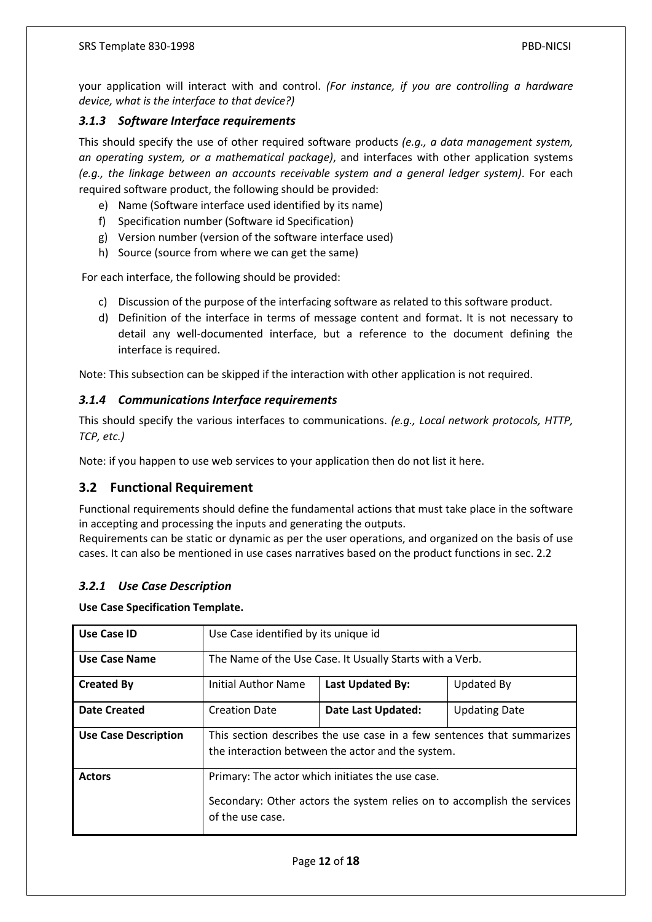your application will interact with and control. *(For instance, if you are controlling a hardware device, what is the interface to that device?)*

### <span id="page-12-0"></span>*3.1.3 Software Interface requirements*

This should specify the use of other required software products *(e.g., a data management system, an operating system, or a mathematical package)*, and interfaces with other application systems *(e.g., the linkage between an accounts receivable system and a general ledger system)*. For each required software product, the following should be provided:

- e) Name (Software interface used identified by its name)
- f) Specification number (Software id Specification)
- g) Version number (version of the software interface used)
- h) Source (source from where we can get the same)

For each interface, the following should be provided:

- c) Discussion of the purpose of the interfacing software as related to this software product.
- d) Definition of the interface in terms of message content and format. It is not necessary to detail any well-documented interface, but a reference to the document defining the interface is required.

Note: This subsection can be skipped if the interaction with other application is not required.

#### <span id="page-12-1"></span>*3.1.4 Communications Interface requirements*

This should specify the various interfaces to communications. *(e.g., Local network protocols, HTTP, TCP, etc.)*

Note: if you happen to use web services to your application then do not list it here.

### <span id="page-12-2"></span>**3.2 Functional Requirement**

Functional requirements should define the fundamental actions that must take place in the software in accepting and processing the inputs and generating the outputs.

Requirements can be static or dynamic as per the user operations, and organized on the basis of use cases. It can also be mentioned in use cases narratives based on the product functions in sec. 2.2

#### <span id="page-12-3"></span>*3.2.1 Use Case Description*

#### **Use Case Specification Template.**

| Use Case ID                 | Use Case identified by its unique id                                                                                                            |                    |                      |  |
|-----------------------------|-------------------------------------------------------------------------------------------------------------------------------------------------|--------------------|----------------------|--|
| Use Case Name               | The Name of the Use Case. It Usually Starts with a Verb.                                                                                        |                    |                      |  |
| <b>Created By</b>           | Initial Author Name<br><b>Last Updated By:</b><br>Updated By                                                                                    |                    |                      |  |
| <b>Date Created</b>         | <b>Creation Date</b>                                                                                                                            | Date Last Updated: | <b>Updating Date</b> |  |
| <b>Use Case Description</b> | This section describes the use case in a few sentences that summarizes<br>the interaction between the actor and the system.                     |                    |                      |  |
| <b>Actors</b>               | Primary: The actor which initiates the use case.<br>Secondary: Other actors the system relies on to accomplish the services<br>of the use case. |                    |                      |  |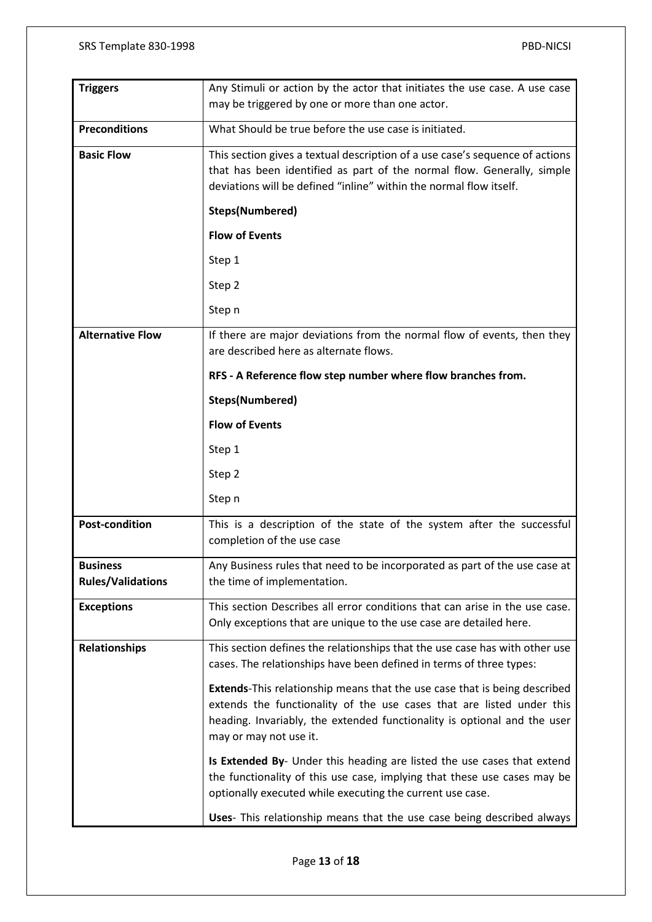| <b>Triggers</b>                             | Any Stimuli or action by the actor that initiates the use case. A use case                                                                                                                                                                                      |
|---------------------------------------------|-----------------------------------------------------------------------------------------------------------------------------------------------------------------------------------------------------------------------------------------------------------------|
|                                             | may be triggered by one or more than one actor.                                                                                                                                                                                                                 |
| <b>Preconditions</b>                        | What Should be true before the use case is initiated.                                                                                                                                                                                                           |
| <b>Basic Flow</b>                           | This section gives a textual description of a use case's sequence of actions<br>that has been identified as part of the normal flow. Generally, simple<br>deviations will be defined "inline" within the normal flow itself.                                    |
|                                             | <b>Steps(Numbered)</b>                                                                                                                                                                                                                                          |
|                                             | <b>Flow of Events</b>                                                                                                                                                                                                                                           |
|                                             | Step 1                                                                                                                                                                                                                                                          |
|                                             | Step 2                                                                                                                                                                                                                                                          |
|                                             | Step n                                                                                                                                                                                                                                                          |
| <b>Alternative Flow</b>                     | If there are major deviations from the normal flow of events, then they<br>are described here as alternate flows.                                                                                                                                               |
|                                             | RFS - A Reference flow step number where flow branches from.                                                                                                                                                                                                    |
|                                             | Steps(Numbered)                                                                                                                                                                                                                                                 |
|                                             | <b>Flow of Events</b>                                                                                                                                                                                                                                           |
|                                             | Step 1                                                                                                                                                                                                                                                          |
|                                             | Step 2                                                                                                                                                                                                                                                          |
|                                             | Step n                                                                                                                                                                                                                                                          |
| <b>Post-condition</b>                       | This is a description of the state of the system after the successful<br>completion of the use case                                                                                                                                                             |
| <b>Business</b><br><b>Rules/Validations</b> | Any Business rules that need to be incorporated as part of the use case at<br>the time of implementation.                                                                                                                                                       |
| <b>Exceptions</b>                           | This section Describes all error conditions that can arise in the use case.<br>Only exceptions that are unique to the use case are detailed here.                                                                                                               |
| <b>Relationships</b>                        | This section defines the relationships that the use case has with other use<br>cases. The relationships have been defined in terms of three types:                                                                                                              |
|                                             | <b>Extends-This relationship means that the use case that is being described</b><br>extends the functionality of the use cases that are listed under this<br>heading. Invariably, the extended functionality is optional and the user<br>may or may not use it. |
|                                             | Is Extended By- Under this heading are listed the use cases that extend<br>the functionality of this use case, implying that these use cases may be<br>optionally executed while executing the current use case.                                                |
|                                             | Uses- This relationship means that the use case being described always                                                                                                                                                                                          |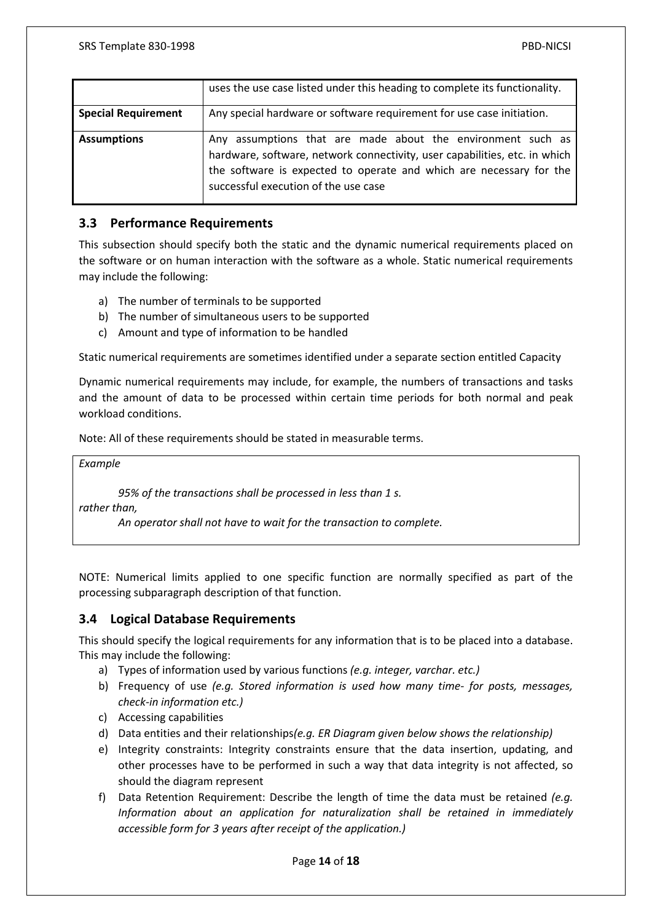|                            | uses the use case listed under this heading to complete its functionality.                                                                                                                                                                               |
|----------------------------|----------------------------------------------------------------------------------------------------------------------------------------------------------------------------------------------------------------------------------------------------------|
| <b>Special Requirement</b> | Any special hardware or software requirement for use case initiation.                                                                                                                                                                                    |
| <b>Assumptions</b>         | Any assumptions that are made about the environment such as<br>hardware, software, network connectivity, user capabilities, etc. in which<br>the software is expected to operate and which are necessary for the<br>successful execution of the use case |

### <span id="page-14-0"></span>**3.3 Performance Requirements**

This subsection should specify both the static and the dynamic numerical requirements placed on the software or on human interaction with the software as a whole. Static numerical requirements may include the following:

- a) The number of terminals to be supported
- b) The number of simultaneous users to be supported
- c) Amount and type of information to be handled

Static numerical requirements are sometimes identified under a separate section entitled Capacity

Dynamic numerical requirements may include, for example, the numbers of transactions and tasks and the amount of data to be processed within certain time periods for both normal and peak workload conditions.

Note: All of these requirements should be stated in measurable terms.

*Example*

*95% of the transactions shall be processed in less than 1 s.*

*rather than,*

*An operator shall not have to wait for the transaction to complete.*

NOTE: Numerical limits applied to one specific function are normally specified as part of the processing subparagraph description of that function.

#### <span id="page-14-1"></span>**3.4 Logical Database Requirements**

This should specify the logical requirements for any information that is to be placed into a database. This may include the following:

- a) Types of information used by various functions *(e.g. integer, varchar. etc.)*
- b) Frequency of use *(e.g. Stored information is used how many time- for posts, messages, check-in information etc.)*
- c) Accessing capabilities
- d) Data entities and their relationships*(e.g. ER Diagram given below shows the relationship)*
- e) Integrity constraints: Integrity constraints ensure that the data insertion, updating, and other processes have to be performed in such a way that data integrity is not affected, so should the diagram represent
- f) Data Retention Requirement: Describe the length of time the data must be retained *(e.g. Information about an application for naturalization shall be retained in immediately accessible form for 3 years after receipt of the application.)*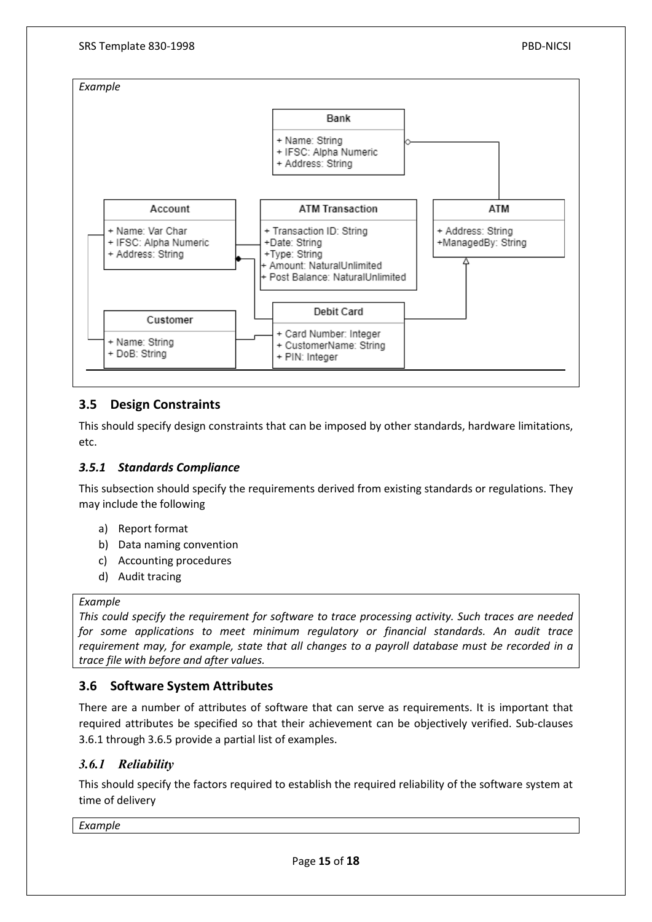

### <span id="page-15-0"></span>**3.5 Design Constraints**

This should specify design constraints that can be imposed by other standards, hardware limitations, etc.

### <span id="page-15-1"></span>*3.5.1 Standards Compliance*

This subsection should specify the requirements derived from existing standards or regulations. They may include the following

- a) Report format
- b) Data naming convention
- c) Accounting procedures
- d) Audit tracing

#### *Example*

*This could specify the requirement for software to trace processing activity. Such traces are needed for some applications to meet minimum regulatory or financial standards. An audit trace requirement may, for example, state that all changes to a payroll database must be recorded in a trace file with before and after values.*

#### <span id="page-15-2"></span>**3.6 Software System Attributes**

There are a number of attributes of software that can serve as requirements. It is important that required attributes be specified so that their achievement can be objectively verified. Sub-clauses 3.6.1 through 3.6.5 provide a partial list of examples.

### <span id="page-15-3"></span>*3.6.1 Reliability*

This should specify the factors required to establish the required reliability of the software system at time of delivery

*Example*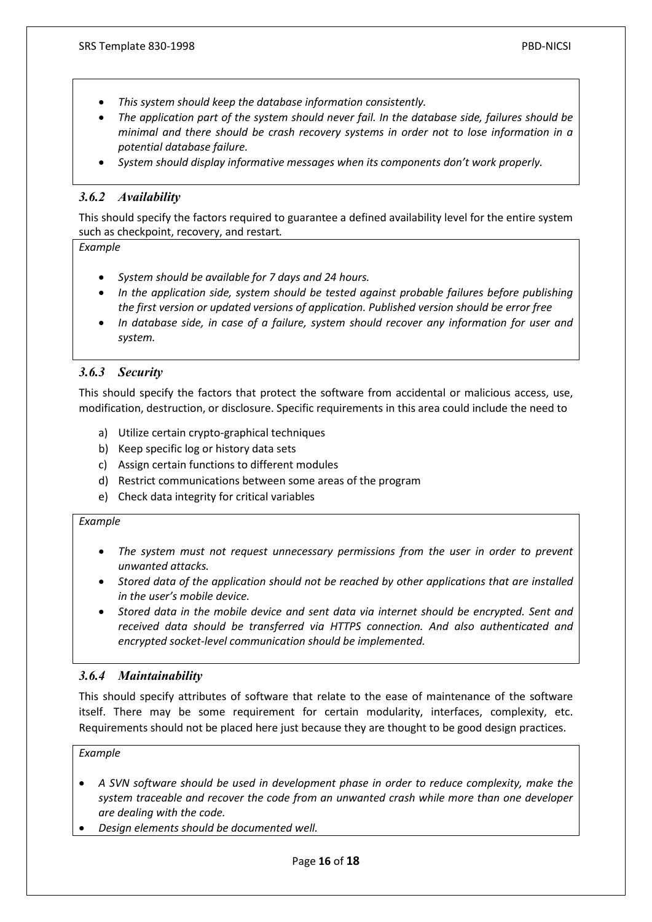- *This system should keep the database information consistently.*
- *The application part of the system should never fail. In the database side, failures should be minimal and there should be crash recovery systems in order not to lose information in a potential database failure.*
- *System should display informative messages when its components don't work properly.*

### <span id="page-16-0"></span>*3.6.2 Availability*

This should specify the factors required to guarantee a defined availability level for the entire system such as checkpoint, recovery, and restart*.*

#### *Example*

- *System should be available for 7 days and 24 hours.*
- *In the application side, system should be tested against probable failures before publishing the first version or updated versions of application. Published version should be error free*
- *In database side, in case of a failure, system should recover any information for user and system.*

### <span id="page-16-1"></span>*3.6.3 Security*

This should specify the factors that protect the software from accidental or malicious access, use, modification, destruction, or disclosure. Specific requirements in this area could include the need to

- a) Utilize certain crypto-graphical techniques
- b) Keep specific log or history data sets
- c) Assign certain functions to different modules
- d) Restrict communications between some areas of the program
- e) Check data integrity for critical variables

#### *Example*

- *The system must not request unnecessary permissions from the user in order to prevent unwanted attacks.*
- *Stored data of the application should not be reached by other applications that are installed in the user's mobile device.*
- *Stored data in the mobile device and sent data via internet should be encrypted. Sent and received data should be transferred via HTTPS connection. And also authenticated and encrypted socket-level communication should be implemented.*

#### <span id="page-16-2"></span>*3.6.4 Maintainability*

This should specify attributes of software that relate to the ease of maintenance of the software itself. There may be some requirement for certain modularity, interfaces, complexity, etc. Requirements should not be placed here just because they are thought to be good design practices.

### *Example*

- *A SVN software should be used in development phase in order to reduce complexity, make the system traceable and recover the code from an unwanted crash while more than one developer are dealing with the code.*
- *Design elements should be documented well.*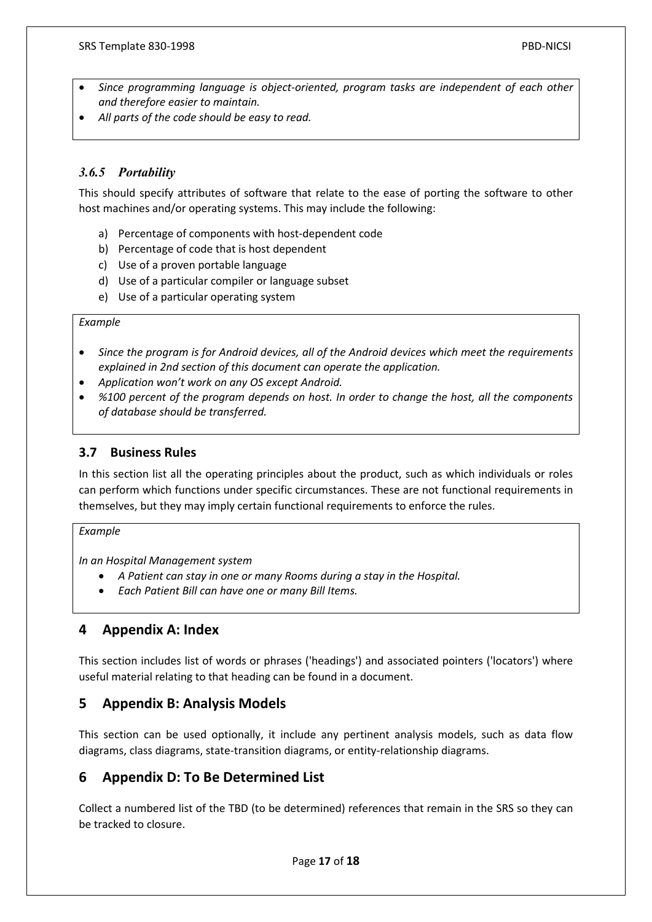- *Since programming language is object-oriented, program tasks are independent of each other and therefore easier to maintain.*
- *All parts of the code should be easy to read.*

### <span id="page-17-0"></span>*3.6.5 Portability*

This should specify attributes of software that relate to the ease of porting the software to other host machines and/or operating systems. This may include the following:

- a) Percentage of components with host-dependent code
- b) Percentage of code that is host dependent
- c) Use of a proven portable language
- d) Use of a particular compiler or language subset
- e) Use of a particular operating system

#### *Example*

- *Since the program is for Android devices, all of the Android devices which meet the requirements explained in 2nd section of this document can operate the application.*
- *Application won't work on any OS except Android.*
- *%100 percent of the program depends on host. In order to change the host, all the components of database should be transferred.*

### <span id="page-17-1"></span>**3.7 Business Rules**

In this section list all the operating principles about the product, such as which individuals or roles can perform which functions under specific circumstances. These are not functional requirements in themselves, but they may imply certain functional requirements to enforce the rules.

#### *Example*

*In an Hospital Management system*

- *A Patient can stay in one or many Rooms during a stay in the Hospital.*
- *Each Patient Bill can have one or many Bill Items.*

### <span id="page-17-2"></span>**4 Appendix A: Index**

This section includes list of words or phrases ('headings') and associated pointers ('locators') where useful material relating to that heading can be found in a document.

### <span id="page-17-3"></span>**5 Appendix B: Analysis Models**

This section can be used optionally, it include any pertinent analysis models, such as data flow diagrams, class diagrams, state-transition diagrams, or entity-relationship diagrams.

## <span id="page-17-4"></span>**6 Appendix D: To Be Determined List**

Collect a numbered list of the TBD (to be determined) references that remain in the SRS so they can be tracked to closure.